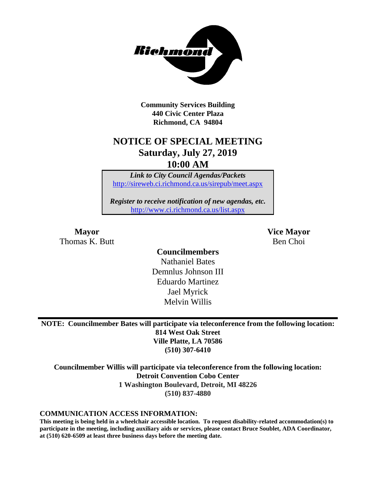

**Community Services Building 440 Civic Center Plaza Richmond, CA 94804**

## **NOTICE OF SPECIAL MEETING Saturday, July 27, 2019 10:00 AM**

*Link to City Council Agendas/Packets* <http://sireweb.ci.richmond.ca.us/sirepub/meet.aspx>

*Register to receive notification of new agendas, etc.* <http://www.ci.richmond.ca.us/list.aspx>

Thomas K. Butt Ben Choi

**Mayor Vice Mayor**

**Councilmembers** Nathaniel Bates Demnlus Johnson III Eduardo Martinez Jael Myrick Melvin Willis

**NOTE: Councilmember Bates will participate via teleconference from the following location: 814 West Oak Street Ville Platte, LA 70586 (510) 307-6410**

**Councilmember Willis will participate via teleconference from the following location: Detroit Convention Cobo Center 1 Washington Boulevard, Detroit, MI 48226 (510) 837-4880**

#### **COMMUNICATION ACCESS INFORMATION:**

**This meeting is being held in a wheelchair accessible location. To request disability-related accommodation(s) to participate in the meeting, including auxiliary aids or services, please contact Bruce Soublet, ADA Coordinator, at (510) 620-6509 at least three business days before the meeting date.**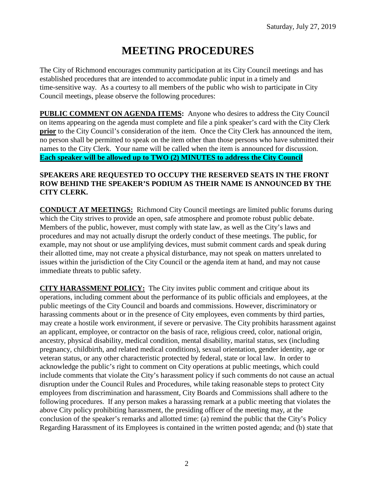# **MEETING PROCEDURES**

The City of Richmond encourages community participation at its City Council meetings and has established procedures that are intended to accommodate public input in a timely and time-sensitive way. As a courtesy to all members of the public who wish to participate in City Council meetings, please observe the following procedures:

**PUBLIC COMMENT ON AGENDA ITEMS:** Anyone who desires to address the City Council on items appearing on the agenda must complete and file a pink speaker's card with the City Clerk **prior** to the City Council's consideration of the item. Once the City Clerk has announced the item, no person shall be permitted to speak on the item other than those persons who have submitted their names to the City Clerk. Your name will be called when the item is announced for discussion. **Each speaker will be allowed up to TWO (2) MINUTES to address the City Council** 

### **SPEAKERS ARE REQUESTED TO OCCUPY THE RESERVED SEATS IN THE FRONT ROW BEHIND THE SPEAKER'S PODIUM AS THEIR NAME IS ANNOUNCED BY THE CITY CLERK.**

**CONDUCT AT MEETINGS:** Richmond City Council meetings are limited public forums during which the City strives to provide an open, safe atmosphere and promote robust public debate. Members of the public, however, must comply with state law, as well as the City's laws and procedures and may not actually disrupt the orderly conduct of these meetings. The public, for example, may not shout or use amplifying devices, must submit comment cards and speak during their allotted time, may not create a physical disturbance, may not speak on matters unrelated to issues within the jurisdiction of the City Council or the agenda item at hand, and may not cause immediate threats to public safety.

**CITY HARASSMENT POLICY:** The City invites public comment and critique about its operations, including comment about the performance of its public officials and employees, at the public meetings of the City Council and boards and commissions. However, discriminatory or harassing comments about or in the presence of City employees, even comments by third parties, may create a hostile work environment, if severe or pervasive. The City prohibits harassment against an applicant, employee, or contractor on the basis of race, religious creed, color, national origin, ancestry, physical disability, medical condition, mental disability, marital status, sex (including pregnancy, childbirth, and related medical conditions), sexual orientation, gender identity, age or veteran status, or any other characteristic protected by federal, state or local law. In order to acknowledge the public's right to comment on City operations at public meetings, which could include comments that violate the City's harassment policy if such comments do not cause an actual disruption under the Council Rules and Procedures, while taking reasonable steps to protect City employees from discrimination and harassment, City Boards and Commissions shall adhere to the following procedures. If any person makes a harassing remark at a public meeting that violates the above City policy prohibiting harassment, the presiding officer of the meeting may, at the conclusion of the speaker's remarks and allotted time: (a) remind the public that the City's Policy Regarding Harassment of its Employees is contained in the written posted agenda; and (b) state that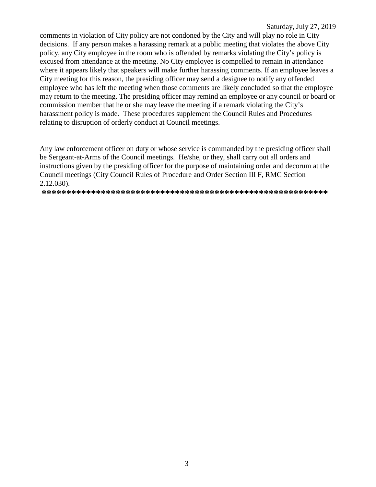#### Saturday, July 27, 2019

comments in violation of City policy are not condoned by the City and will play no role in City decisions. If any person makes a harassing remark at a public meeting that violates the above City policy, any City employee in the room who is offended by remarks violating the City's policy is excused from attendance at the meeting. No City employee is compelled to remain in attendance where it appears likely that speakers will make further harassing comments. If an employee leaves a City meeting for this reason, the presiding officer may send a designee to notify any offended employee who has left the meeting when those comments are likely concluded so that the employee may return to the meeting. The presiding officer may remind an employee or any council or board or commission member that he or she may leave the meeting if a remark violating the City's harassment policy is made. These procedures supplement the Council Rules and Procedures relating to disruption of orderly conduct at Council meetings.

Any law enforcement officer on duty or whose service is commanded by the presiding officer shall be Sergeant-at-Arms of the Council meetings. He/she, or they, shall carry out all orders and instructions given by the presiding officer for the purpose of maintaining order and decorum at the Council meetings (City Council Rules of Procedure and Order Section III F, RMC Section  $2.12.030$ ).